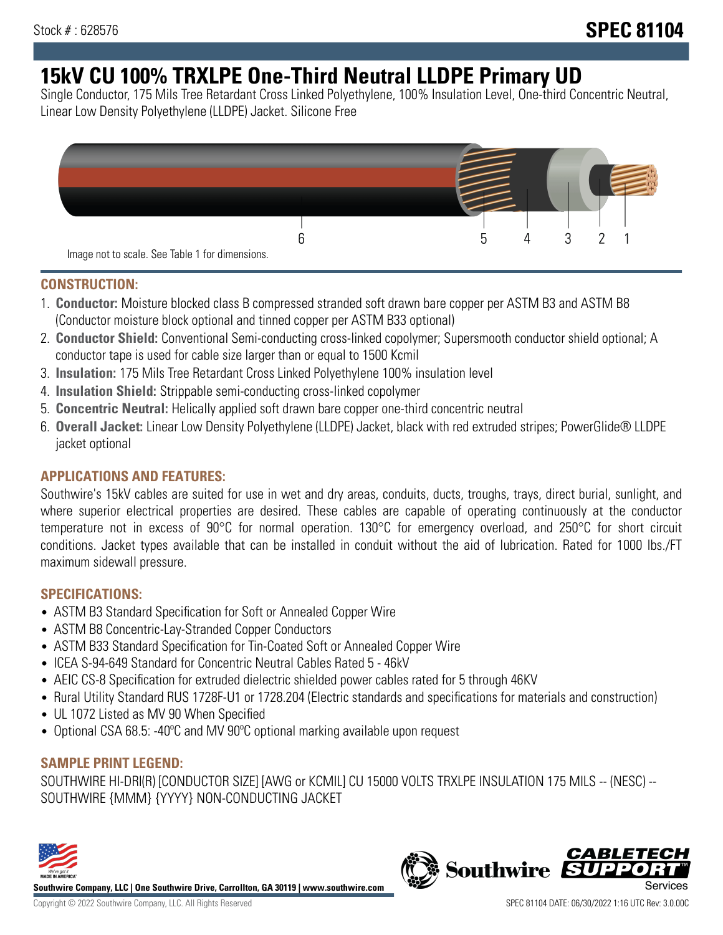# **15kV CU 100% TRXLPE One-Third Neutral LLDPE Primary UD**

Single Conductor, 175 Mils Tree Retardant Cross Linked Polyethylene, 100% Insulation Level, One-third Concentric Neutral, Linear Low Density Polyethylene (LLDPE) Jacket. Silicone Free



#### **CONSTRUCTION:**

- 1. **Conductor:** Moisture blocked class B compressed stranded soft drawn bare copper per ASTM B3 and ASTM B8 (Conductor moisture block optional and tinned copper per ASTM B33 optional)
- 2. **Conductor Shield:** Conventional Semi-conducting cross-linked copolymer; Supersmooth conductor shield optional; A conductor tape is used for cable size larger than or equal to 1500 Kcmil
- 3. **Insulation:** 175 Mils Tree Retardant Cross Linked Polyethylene 100% insulation level
- 4. **Insulation Shield:** Strippable semi-conducting cross-linked copolymer
- 5. **Concentric Neutral:** Helically applied soft drawn bare copper one-third concentric neutral
- 6. **Overall Jacket:** Linear Low Density Polyethylene (LLDPE) Jacket, black with red extruded stripes; PowerGlide® LLDPE jacket optional

### **APPLICATIONS AND FEATURES:**

Southwire's 15kV cables are suited for use in wet and dry areas, conduits, ducts, troughs, trays, direct burial, sunlight, and where superior electrical properties are desired. These cables are capable of operating continuously at the conductor temperature not in excess of 90°C for normal operation. 130°C for emergency overload, and 250°C for short circuit conditions. Jacket types available that can be installed in conduit without the aid of lubrication. Rated for 1000 lbs./FT maximum sidewall pressure.

### **SPECIFICATIONS:**

- ASTM B3 Standard Specification for Soft or Annealed Copper Wire
- ASTM B8 Concentric-Lay-Stranded Copper Conductors
- ASTM B33 Standard Specification for Tin-Coated Soft or Annealed Copper Wire
- ICEA S-94-649 Standard for Concentric Neutral Cables Rated 5 46kV
- AEIC CS-8 Specification for extruded dielectric shielded power cables rated for 5 through 46KV
- Rural Utility Standard RUS 1728F-U1 or 1728.204 (Electric standards and specifications for materials and construction)
- UL 1072 Listed as MV 90 When Specified
- Optional CSA 68.5: -40ºC and MV 90ºC optional marking available upon request

### **SAMPLE PRINT LEGEND:**

SOUTHWIRE HI-DRI(R) [CONDUCTOR SIZE] [AWG or KCMIL] CU 15000 VOLTS TRXLPE INSULATION 175 MILS -- (NESC) -- SOUTHWIRE {MMM} {YYYY} NON-CONDUCTING JACKET



**Southwire Company, LLC | One Southwire Drive, Carrollton, GA 30119 | www.southwire.com**

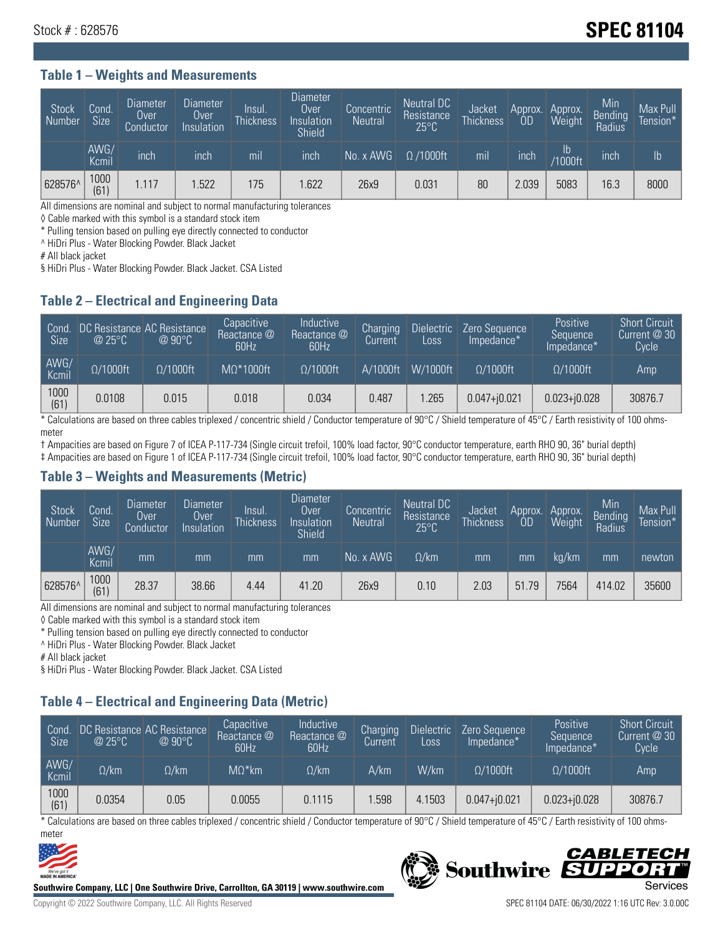## Stock # : 628576 **SPEC 81104**

#### **Table 1 – Weights and Measurements**

| Stock<br>Number | Cond.<br><b>Size</b> | <b>Diameter</b><br>Over<br>Conductor | <b>Diameter</b><br>Over<br>Insulation | Insul.<br><b>Thickness</b> | <b>Diameter</b><br>Over<br>Insulation<br><b>Shield</b> | Concentric<br><b>Neutral</b> | Neutral DC<br>Resistance<br>$25^{\circ}$ C | Jacket<br><b>Thickness</b> | Approx.<br>0D | Approx.<br>Weight | Min<br><b>Bending</b><br>Radius | Max Pull<br>Tension*' |
|-----------------|----------------------|--------------------------------------|---------------------------------------|----------------------------|--------------------------------------------------------|------------------------------|--------------------------------------------|----------------------------|---------------|-------------------|---------------------------------|-----------------------|
|                 | AWG/<br>Kcmil        | inch                                 | inch                                  | mil                        | inch                                                   | No. x AWG                    | $\Omega$ /1000ft                           | mil                        | inch          | Ib<br>/1000ft     | inch                            | $\mathsf{lb}$         |
| 628576^         | 1000<br>(61)         | .117                                 | .522                                  | 175                        | .622                                                   | 26x9                         | 0.031                                      | 80                         | 2.039         | 5083              | 16.3                            | 8000                  |

All dimensions are nominal and subject to normal manufacturing tolerances

◊ Cable marked with this symbol is a standard stock item

\* Pulling tension based on pulling eye directly connected to conductor

^ HiDri Plus - Water Blocking Powder. Black Jacket

# All black jacket

§ HiDri Plus - Water Blocking Powder. Black Jacket. CSA Listed

#### **Table 2 – Electrical and Engineering Data**

| Cond.<br>Size | $\omega$ 25°C    | DC Resistance AC Resistance<br>$@90^{\circ}C$ | Capacitive<br>Reactance @<br>60Hz | Inductive<br>Reactance @<br>60Hz | Charging<br>Current | Dielectric<br>Loss | Zero Sequence<br>Impedance* | Positive<br>Sequence<br>Impedance* | <b>Short Circuit</b><br>Current $@30"$<br>Cycle |
|---------------|------------------|-----------------------------------------------|-----------------------------------|----------------------------------|---------------------|--------------------|-----------------------------|------------------------------------|-------------------------------------------------|
| AWG/<br>Kcmil | $\Omega/1000$ ft | $\Omega/1000$ ft                              | $M\Omega^*1000$ ft                | $\Omega/1000$ ft                 | A/1000ft            | $W/1000$ ft        | $\Omega$ /1000ft            | $\Omega/1000$ ft                   | Amp                                             |
| 1000<br>(61)  | 0.0108           | 0.015                                         | 0.018                             | 0.034                            | 0.487               | .265               | $0.047 + j0.021$            | $0.023 + 0.028$                    | 30876.7                                         |

\* Calculations are based on three cables triplexed / concentric shield / Conductor temperature of 90°C / Shield temperature of 45°C / Earth resistivity of 100 ohmsmeter

† Ampacities are based on Figure 7 of ICEA P-117-734 (Single circuit trefoil, 100% load factor, 90°C conductor temperature, earth RHO 90, 36" burial depth)

‡ Ampacities are based on Figure 1 of ICEA P-117-734 (Single circuit trefoil, 100% load factor, 90°C conductor temperature, earth RHO 90, 36" burial depth)

#### **Table 3 – Weights and Measurements (Metric)**

| <b>Stock</b><br>Number | Cond.<br><b>Size</b> | Diameter<br>Over<br>Conductor | Diameter<br>Over<br>Insulation | lnsul.<br><b>Thickness</b> | Diameter<br>Over<br>Insulation<br><b>Shield</b> | Concentric<br><b>Neutral</b> | Neutral DC<br>Resistance<br>$25^{\circ}$ C | Jacket<br><b>Thickness</b> | Approx.<br>0D | Approx.<br>Weight | Min<br><b>Bending</b><br>Radius | Max Pull<br>Tension* |
|------------------------|----------------------|-------------------------------|--------------------------------|----------------------------|-------------------------------------------------|------------------------------|--------------------------------------------|----------------------------|---------------|-------------------|---------------------------------|----------------------|
|                        | AWG/<br>Kcmil        | mm                            | mm                             | mm                         | mm                                              | No. x AWG                    | $\Omega$ /km                               | mm                         | mm            | ka/km             | mm                              | newton               |
| 628576^                | 1000<br>(61)         | 28.37                         | 38.66                          | 4.44                       | 41.20                                           | 26x9                         | 0.10                                       | 2.03                       | 51.79         | 7564              | 414.02                          | 35600                |

All dimensions are nominal and subject to normal manufacturing tolerances

◊ Cable marked with this symbol is a standard stock item

\* Pulling tension based on pulling eye directly connected to conductor

^ HiDri Plus - Water Blocking Powder. Black Jacket

# All black jacket

§ HiDri Plus - Water Blocking Powder. Black Jacket. CSA Listed

### **Table 4 – Electrical and Engineering Data (Metric)**

| Cond<br>Size <sup>'</sup> | @25°C        | DC Resistance AC Resistance<br>$@90^{\circ}C$ | Capacitive<br>Reactance @<br>60Hz | <b>Inductive</b><br>Reactance $@$<br>60Hz | Charging<br>Current | <b>Dielectric</b><br>Loss. | Zero Sequence<br>Impedance* | Positive<br>Sequence<br>Impedance* | <b>Short Circuit</b><br>Current @ 30<br>Cycle <sup>1</sup> |
|---------------------------|--------------|-----------------------------------------------|-----------------------------------|-------------------------------------------|---------------------|----------------------------|-----------------------------|------------------------------------|------------------------------------------------------------|
| AWG/<br>Kcmil             | $\Omega$ /km | $\Omega / \mathsf{k}$ m $\,$                  | $M\Omega^*$ km                    | $\Omega$ /km                              | A/km                | W/km                       | $\Omega/1000$ ft            | $\Omega/1000$ ft                   | Amp                                                        |
| 1000<br>(61)              | 0.0354       | 0.05                                          | 0.0055                            | 0.1115                                    | .598                | 4.1503                     | $0.047 + j0.021$            | $0.023 + j0.028$                   | 30876.7                                                    |

\* Calculations are based on three cables triplexed / concentric shield / Conductor temperature of 90°C / Shield temperature of 45°C / Earth resistivity of 100 ohmsmeter



**Southwire Company, LLC | One Southwire Drive, Carrollton, GA 30119 | www.southwire.com**

#### CABLETECI Southwire SUP Ð